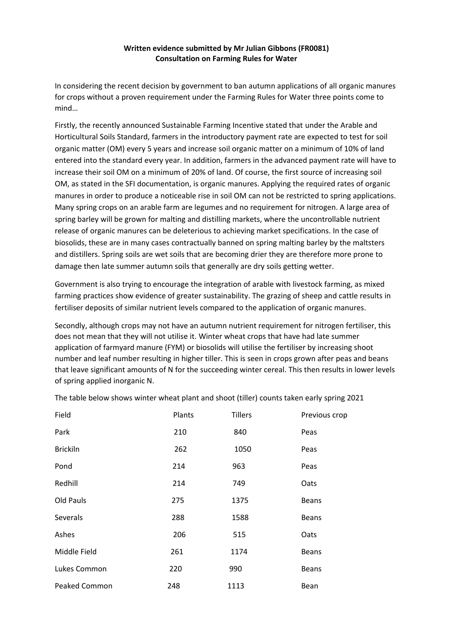## **Written evidence submitted by Mr Julian Gibbons (FR0081) Consultation on Farming Rules for Water**

In considering the recent decision by government to ban autumn applications of all organic manures for crops without a proven requirement under the Farming Rules for Water three points come to mind…

Firstly, the recently announced Sustainable Farming Incentive stated that under the Arable and Horticultural Soils Standard, farmers in the introductory payment rate are expected to test for soil organic matter (OM) every 5 years and increase soil organic matter on a minimum of 10% of land entered into the standard every year. In addition, farmers in the advanced payment rate will have to increase their soil OM on a minimum of 20% of land. Of course, the first source of increasing soil OM, as stated in the SFI documentation, is organic manures. Applying the required rates of organic manures in order to produce a noticeable rise in soil OM can not be restricted to spring applications. Many spring crops on an arable farm are legumes and no requirement for nitrogen. A large area of spring barley will be grown for malting and distilling markets, where the uncontrollable nutrient release of organic manures can be deleterious to achieving market specifications. In the case of biosolids, these are in many cases contractually banned on spring malting barley by the maltsters and distillers. Spring soils are wet soils that are becoming drier they are therefore more prone to damage then late summer autumn soils that generally are dry soils getting wetter.

Government is also trying to encourage the integration of arable with livestock farming, as mixed farming practices show evidence of greater sustainability. The grazing of sheep and cattle results in fertiliser deposits of similar nutrient levels compared to the application of organic manures.

Secondly, although crops may not have an autumn nutrient requirement for nitrogen fertiliser, this does not mean that they will not utilise it. Winter wheat crops that have had late summer application of farmyard manure (FYM) or biosolids will utilise the fertiliser by increasing shoot number and leaf number resulting in higher tiller. This is seen in crops grown after peas and beans that leave significant amounts of N for the succeeding winter cereal. This then results in lower levels of spring applied inorganic N.

| Field                | Plants | <b>Tillers</b> | Previous crop |
|----------------------|--------|----------------|---------------|
| Park                 | 210    | 840            | Peas          |
| <b>Brickiln</b>      | 262    | 1050           | Peas          |
| Pond                 | 214    | 963            | Peas          |
| Redhill              | 214    | 749            | Oats          |
| Old Pauls            | 275    | 1375           | <b>Beans</b>  |
| Severals             | 288    | 1588           | <b>Beans</b>  |
| Ashes                | 206    | 515            | Oats          |
| Middle Field         | 261    | 1174           | <b>Beans</b>  |
| Lukes Common         | 220    | 990            | <b>Beans</b>  |
| <b>Peaked Common</b> | 248    | 1113           | Bean          |

The table below shows winter wheat plant and shoot (tiller) counts taken early spring 2021